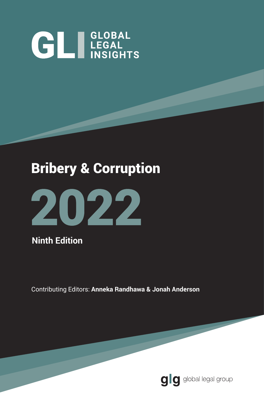# **GLI LEGAL**

## Bribery & Corruption



**Ninth Edition**

Contributing Editors: **Anneka Randhawa & Jonah Anderson**

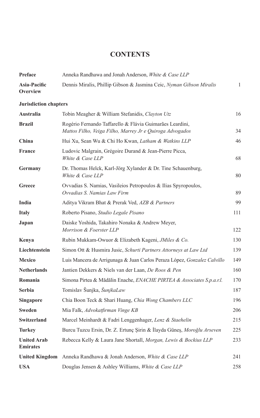#### **CONTENTS**

| Preface                               | Anneka Randhawa and Jonah Anderson, White & Case LLP                                                                 |     |
|---------------------------------------|----------------------------------------------------------------------------------------------------------------------|-----|
| Asia-Pacific<br>Overview              | Dennis Miralis, Phillip Gibson & Jasmina Ceic, Nyman Gibson Miralis                                                  | 1   |
| <b>Jurisdiction chapters</b>          |                                                                                                                      |     |
| <b>Australia</b>                      | Tobin Meagher & William Stefanidis, Clayton Utz                                                                      | 16  |
| <b>Brazil</b>                         | Rogério Fernando Taffarello & Flávia Guimarães Leardini,<br>Mattos Filho, Veiga Filho, Marrey Jr e Quiroga Advogados | 34  |
| China                                 | Hui Xu, Sean Wu & Chi Ho Kwan, Latham & Watkins LLP                                                                  | 46  |
| <b>France</b>                         | Ludovic Malgrain, Grégoire Durand & Jean-Pierre Picca,<br>White & Case LLP                                           | 68  |
| Germany                               | Dr. Thomas Helck, Karl-Jörg Xylander & Dr. Tine Schauenburg,<br>White & Case LLP                                     | 80  |
| Greece                                | Ovvadias S. Namias, Vasileios Petropoulos & Ilias Spyropoulos,<br>Ovvadias S. Namias Law Firm                        | 89  |
| India                                 | Aditya Vikram Bhat & Prerak Ved, AZB & Partners                                                                      | 99  |
| <b>Italy</b>                          | Roberto Pisano, Studio Legale Pisano                                                                                 | 111 |
| Japan                                 | Daiske Yoshida, Takahiro Nonaka & Andrew Meyer,<br>Morrison & Foerster LLP                                           | 122 |
| Kenya                                 | Rubin Mukkam-Owuor & Elizabeth Kageni, <i>JMiles &amp; Co.</i>                                                       | 130 |
| Liechtenstein                         | Simon Ott & Husmira Jusic, Schurti Partners Attorneys at Law Ltd                                                     | 139 |
| <b>Mexico</b>                         | Luis Mancera de Arrigunaga & Juan Carlos Peraza López, <i>Gonzalez Calvillo</i>                                      | 149 |
| <b>Netherlands</b>                    | Jantien Dekkers & Niels van der Laan, De Roos & Pen                                                                  | 160 |
| Romania                               | Simona Pirtea & Mădălin Enache, ENACHE PIRTEA & Associates S.p.a.r.l.                                                | 170 |
| <b>Serbia</b>                         | Tomislav Šunjka, ŠunjkaLaw                                                                                           | 187 |
| Singapore                             | Chia Boon Teck & Shari Huang, Chia Wong Chambers LLC                                                                 | 196 |
| Sweden                                | Mia Falk, Advokatfirman Vinge KB                                                                                     | 206 |
| Switzerland                           | Marcel Meinhardt & Fadri Lenggenhager, Lenz & Staehelin                                                              | 215 |
| <b>Turkey</b>                         | Burcu Tuzcu Ersin, Dr. Z. Ertunç Şirin & İlayda Güneş, Moroğlu Arseven                                               | 225 |
| <b>United Arab</b><br><b>Emirates</b> | Rebecca Kelly & Laura Jane Shortall, Morgan, Lewis & Bockius LLP                                                     | 233 |
| <b>United Kingdom</b>                 | Anneka Randhawa & Jonah Anderson, White & Case LLP                                                                   | 241 |
| <b>USA</b>                            | Douglas Jensen & Ashley Williams, White & Case LLP                                                                   | 258 |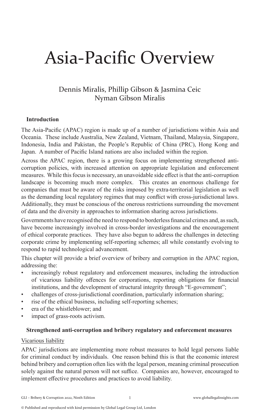## Asia-Pacific Overview

#### Dennis Miralis, Phillip Gibson & Jasmina Ceic Nyman Gibson Miralis

#### **Introduction**

The Asia-Pacific (APAC) region is made up of a number of jurisdictions within Asia and Oceania. These include Australia, New Zealand, Vietnam, Thailand, Malaysia, Singapore, Indonesia, India and Pakistan, the People's Republic of China (PRC), Hong Kong and Japan. A number of Pacific Island nations are also included within the region.

Across the APAC region, there is a growing focus on implementing strengthened anticorruption policies, with increased attention on appropriate legislation and enforcement measures. While this focus is necessary, an unavoidable side effect is that the anti-corruption landscape is becoming much more complex. This creates an enormous challenge for companies that must be aware of the risks imposed by extra-territorial legislation as well as the demanding local regulatory regimes that may conflict with cross-jurisdictional laws. Additionally, they must be conscious of the onerous restrictions surrounding the movement of data and the diversity in approaches to information sharing across jurisdictions.

Governments have recognised the need to respond to borderless financial crimes and, as such, have become increasingly involved in cross-border investigations and the encouragement of ethical corporate practices. They have also begun to address the challenges in detecting corporate crime by implementing self-reporting schemes; all while constantly evolving to respond to rapid technological advancement.

This chapter will provide a brief overview of bribery and corruption in the APAC region, addressing the:

- increasingly robust regulatory and enforcement measures, including the introduction of vicarious liability offences for corporations, reporting obligations for financial institutions, and the development of structural integrity through "E-government";
- challenges of cross-jurisdictional coordination, particularly information sharing;
- rise of the ethical business, including self-reporting schemes;
- era of the whistleblower; and
- impact of grass-roots activism.

#### **Strengthened anti-corruption and bribery regulatory and enforcement measures**

#### Vicarious liability

APAC jurisdictions are implementing more robust measures to hold legal persons liable for criminal conduct by individuals. One reason behind this is that the economic interest behind bribery and corruption often lies with the legal person, meaning criminal prosecution solely against the natural person will not suffice. Companies are, however, encouraged to implement effective procedures and practices to avoid liability.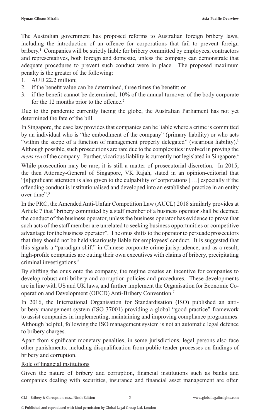The Australian government has proposed reforms to Australian foreign bribery laws, including the introduction of an offence for corporations that fail to prevent foreign bribery.<sup>1</sup> Companies will be strictly liable for bribery committed by employees, contractors and representatives, both foreign and domestic, unless the company can demonstrate that adequate procedures to prevent such conduct were in place. The proposed maximum penalty is the greater of the following:

- 1. AUD 22.2 million;
- 2. if the benefit value can be determined, three times the benefit; or
- 3. if the benefit cannot be determined, 10% of the annual turnover of the body corporate for the 12 months prior to the offence.<sup>2</sup>

Due to the pandemic currently facing the globe, the Australian Parliament has not yet determined the fate of the bill.

In Singapore, the case law provides that companies can be liable where a crime is committed by an individual who is "the embodiment of the company" (primary liability) or who acts "within the scope of a function of management properly delegated" (vicarious liability).<sup>3</sup> Although possible, such prosecutions are rare due to the complexities involved in proving the *mens rea* of the company. Further, vicarious liability is currently not legislated in Singapore.<sup>4</sup>

While prosecution may be rare, it is still a matter of prosecutorial discretion. In 2015, the then Attorney-General of Singapore, VK Rajah, stated in an opinion-editorial that "[s]ignificant attention is also given to the culpability of corporations […] especially if the offending conduct is institutionalised and developed into an established practice in an entity over time".5

In the PRC, the Amended Anti-Unfair Competition Law (AUCL) 2018 similarly provides at Article 7 that "bribery committed by a staff member of a business operator shall be deemed the conduct of the business operator, unless the business operator has evidence to prove that such acts of the staff member are unrelated to seeking business opportunities or competitive advantage for the business operator". The onus shifts to the operator to persuade prosecutors that they should not be held vicariously liable for employees' conduct. It is suggested that this signals a "paradigm shift" in Chinese corporate crime jurisprudence, and as a result, high-profile companies are outing their own executives with claims of bribery, precipitating criminal investigations.<sup>6</sup>

By shifting the onus onto the company, the regime creates an incentive for companies to develop robust anti-bribery and corruption policies and procedures. These developments are in line with US and UK laws, and further implement the Organisation for Economic Cooperation and Development (OECD) Anti-Bribery Convention.7

In 2016, the International Organisation for Standardisation (ISO) published an antibribery management system (ISO 37001) providing a global "good practice" framework to assist companies in implementing, maintaining and improving compliance programmes. Although helpful, following the ISO management system is not an automatic legal defence to bribery charges.

Apart from significant monetary penalties, in some jurisdictions, legal persons also face other punishments, including disqualification from public tender processes on findings of bribery and corruption.

#### Role of financial institutions

Given the nature of bribery and corruption, financial institutions such as banks and companies dealing with securities, insurance and financial asset management are often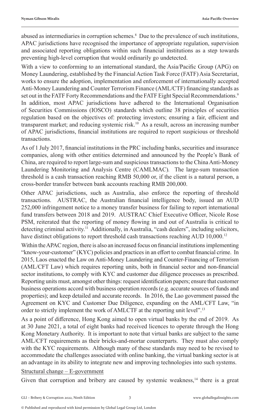abused as intermediaries in corruption schemes.<sup>8</sup> Due to the prevalence of such institutions, APAC jurisdictions have recognised the importance of appropriate regulation, supervision and associated reporting obligations within such financial institutions as a step towards preventing high-level corruption that would ordinarily go undetected.

With a view to conforming to an international standard, the Asia/Pacific Group (APG) on Money Laundering, established by the Financial Action Task Force (FATF) Asia Secretariat, works to ensure the adoption, implementation and enforcement of internationally accepted Anti-Money Laundering and Counter Terrorism Finance (AML/CTF) financing standards as set out in the FATF Forty Recommendations and the FATF Eight Special Recommendations.<sup>9</sup> In addition, most APAC jurisdictions have adhered to the International Organisation of Securities Commissions (IOSCO) standards which outline 38 principles of securities regulation based on the objectives of: protecting investors; ensuring a fair, efficient and transparent market; and reducing systemic risk.10 As a result, across an increasing number of APAC jurisdictions, financial institutions are required to report suspicious or threshold transactions.

As of 1 July 2017, financial institutions in the PRC including banks, securities and insurance companies, along with other entities determined and announced by the People's Bank of China, are required to report large-sum and suspicious transactions to the China Anti-Money Laundering Monitoring and Analysis Centre (CAMLMAC)*.* The large-sum transaction threshold is a cash transaction reaching RMB 50,000 or, if the client is a natural person, a cross-border transfer between bank accounts reaching RMB 200,000.

Other APAC jurisdictions, such as Australia, also enforce the reporting of threshold transactions. AUSTRAC, the Australian financial intelligence body, issued an AUD 252,000 infringement notice to a money transfer business for failing to report international fund transfers between 2018 and 2019. AUSTRAC Chief Executive Officer, Nicole Rose PSM, reiterated that the reporting of money flowing in and out of Australia is critical to detecting criminal activity.<sup>11</sup> Additionally, in Australia, "cash dealers", including solicitors, have distinct obligations to report threshold cash transactions reaching AUD 10,000.<sup>12</sup>

Within the APAC region, there is also an increased focus on financial institutions implementing "know-your-customer" (KYC) policies and practices in an effort to combat financial crime. In 2015, Laos enacted the Law on Anti-Money Laundering and Counter-Financing of Terrorism (AML/CFT Law) which requires reporting units, both in financial sector and non-financial sector institutions, to comply with KYC and customer due diligence processes as prescribed. Reporting units must, amongst other things: request identification papers; ensure that customer business operations accord with business operation records (e.g. accurate sources of funds and properties); and keep detailed and accurate records. In 2016, the Lao government passed the Agreement on KYC and Customer Due Diligence, expanding on the AML/CFT Law, "in order to strictly implement the work of AMLCTF at the reporting unit level".<sup>13</sup>

As a point of difference, Hong Kong aimed to open virtual banks by the end of 2019. As at 30 June 2021, a total of eight banks had received licences to operate through the Hong Kong Monetary Authority. It is important to note that virtual banks are subject to the same AML/CFT requirements as their bricks-and-mortar counterparts. They must also comply with the KYC requirements. Although many of these standards may need to be revised to accommodate the challenges associated with online banking, the virtual banking sector is at an advantage in its ability to integrate new and improving technologies into such systems.

#### Structural change – E-government

Given that corruption and bribery are caused by systemic weakness,<sup>14</sup> there is a great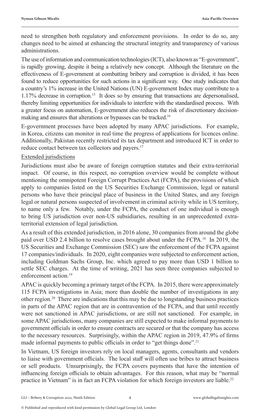need to strengthen both regulatory and enforcement provisions. In order to do so, any changes need to be aimed at enhancing the structural integrity and transparency of various administrations.

The use of information and communication technologies (ICT), also known as "E-government", is rapidly growing, despite it being a relatively new concept. Although the literature on the effectiveness of E-government at combatting bribery and corruption is divided, it has been found to reduce opportunities for such actions in a significant way. One study indicates that a country's 1% increase in the United Nations (UN) E-government Index may contribute to a 1.17% decrease in corruption.15 It does so by ensuring that transactions are depersonalised, thereby limiting opportunities for individuals to interfere with the standardised process. With a greater focus on automation, E-government also reduces the risk of discretionary decisionmaking and ensures that alterations or bypasses can be tracked.<sup>16</sup>

E-government processes have been adopted by many APAC jurisdictions. For example, in Korea, citizens can monitor in real time the progress of applications for licences online. Additionally, Pakistan recently restricted its tax department and introduced ICT in order to reduce contact between tax collectors and payers.<sup>17</sup>

#### Extended jurisdictions

Jurisdictions must also be aware of foreign corruption statutes and their extra-territorial impact. Of course, in this respect, no corruption overview would be complete without mentioning the omnipotent Foreign Corrupt Practices Act (FCPA), the provisions of which apply to companies listed on the US Securities Exchange Commission, legal or natural persons who have their principal place of business in the United States, and any foreign legal or natural persons suspected of involvement in criminal activity while in US territory, to name only a few. Notably, under the FCPA, the conduct of one individual is enough to bring US jurisdiction over non-US subsidiaries, resulting in an unprecedented extraterritorial extension of legal jurisdiction.

As a result of this extended jurisdiction, in 2016 alone, 30 companies from around the globe paid over USD 2.4 billion to resolve cases brought about under the FCPA.18 In 2019, the US Securities and Exchange Commission (SEC) saw the enforcement of the FCPA against 17 companies/individuals. In 2020, eight companies were subjected to enforcement action, including Goldman Sachs Group, Inc. which agreed to pay more than USD 1 billion to settle SEC charges. At the time of writing, 2021 has seen three companies subjected to enforcement action.<sup>19</sup>

APAC is quickly becoming a primary target of the FCPA. In 2015, there were approximately 115 FCPA investigations in Asia; more than double the number of investigations in any other region.20 There are indications that this may be due to longstanding business practices in parts of the APAC region that are in contravention of the FCPA, and that until recently were not sanctioned in APAC jurisdictions, or are still not sanctioned. For example, in some APAC jurisdictions, many companies are still expected to make informal payments to government officials in order to ensure contracts are secured or that the company has access to the necessary resources. Surprisingly, within the APAC region in 2019, 47.9% of firms made informal payments to public officials in order to "get things done".<sup>21</sup>

In Vietnam, US foreign investors rely on local managers, agents, consultants and vendors to liaise with government officials. The local staff will often use bribes to attract business or sell products. Unsurprisingly, the FCPA covers payments that have the intention of influencing foreign officials to obtain advantages. For this reason, what may be "normal practice in Vietnam" is in fact an FCPA violation for which foreign investors are liable.<sup>22</sup>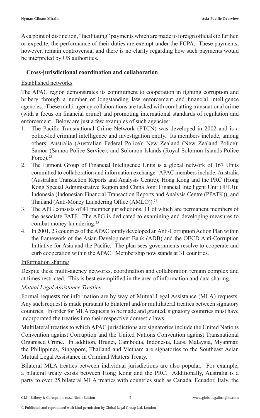As a point of distinction, "facilitating" payments which are made to foreign officials to further, or expedite, the performance of their duties are exempt under the FCPA. These payments, however, remain controversial and there is no clarity regarding how such payments would be interpreted by US authorities.

#### **Cross-jurisdictional coordination and collaboration**

#### Established networks

The APAC region demonstrates its commitment to cooperation in fighting corruption and bribery through a number of longstanding law enforcement and financial intelligence agencies. These multi-agency collaborations are tasked with combatting transnational crime (with a focus on financial crime) and promoting international standards of regulation and enforcement. Below are just a few examples of such agencies:

- 1. The Pacific Transnational Crime Network (PTCN) was developed in 2002 and is a police-led criminal intelligence and investigation entity. Its members include, among others: Australia (Australian Federal Police); New Zealand (New Zealand Police); Samoa (Samoa Police Service); and Solomon Islands (Royal Solomon Islands Police Force).<sup>23</sup>
- 2. The Egmont Group of Financial Intelligence Units is a global network of 167 Units committed to collaboration and information exchange. APAC members include: Australia (Australian Transaction Reports and Analysis Centre); Hong Kong and the PRC (Hong Kong Special Administrative Region and China Joint Financial Intelligent Unit (JFIU)); Indonesia (Indonesian Financial Transaction Reports and Analysis Centre (PPATK)); and Thailand (Anti-Money Laundering Office (AMLO)).<sup>24</sup>
- 3. The APG consists of 41 member jurisdictions, 11 of which are permanent members of the associate FATF. The APG is dedicated to examining and developing measures to combat money laundering.25
- 4. In 2001, 23 countries of the APAC jointly developed an Anti-Corruption Action Plan within the framework of the Asian Development Bank (ADB) and the OECD Anti-Corruption Initiative for Asia and the Pacific. The plan sees governments resolve to cooperate and curb cooperation within the APAC. Membership now stands at 31 countries.

#### Information sharing

Despite these multi-agency networks, coordination and collaboration remain complex and at times restricted. This is best exemplified in the area of information and data sharing.

#### *Mutual Legal Assistance Treaties*

Formal requests for information are by way of Mutual Legal Assistance (MLA) requests. Any such request is made pursuant to bilateral and/or multilateral treaties between signatory countries. In order for MLA requests to be made and granted, signatory countries must have incorporated the treaties into their respective domestic laws.

Multilateral treaties to which APAC jurisdictions are signatories include the United Nations Convention against Corruption and the United Nations Convention against Transnational Organised Crime. In addition, Brunei, Cambodia, Indonesia, Laos, Malaysia, Myanmar, the Philippines, Singapore, Thailand and Vietnam are signatories to the Southeast Asian Mutual Legal Assistance in Criminal Matters Treaty.

Bilateral MLA treaties between individual jurisdictions are also popular. For example, a bilateral treaty exists between Hong Kong and the PRC. Additionally, Australia is a party to over 25 bilateral MLA treaties with countries such as Canada, Ecuador, Italy, the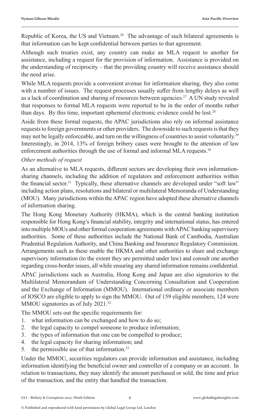Republic of Korea, the US and Vietnam.<sup>26</sup> The advantage of such bilateral agreements is that information can be kept confidential between parties to that agreement.

Although such treaties exist, any country can make an MLA request to another for assistance, including a request for the provision of information. Assistance is provided on the understanding of reciprocity – that the providing country will receive assistance should the need arise.

While MLA requests provide a convenient avenue for information sharing, they also come with a number of issues. The request processes usually suffer from lengthy delays as well as a lack of coordination and sharing of resources between agencies.27 A UN study revealed that responses to formal MLA requests were reported to be in the order of months rather than days. By this time, important ephemeral electronic evidence could be lost.<sup>28</sup>

Aside from these formal requests, the APAC jurisdictions also rely on informal assistance requests to foreign governments or other providers. The downside to such requests is that they may not be legally enforceable, and turn on the willingness of countries to assist voluntarily.<sup>29</sup> Interestingly, in 2014, 13% of foreign bribery cases were brought to the attention of law enforcement authorities through the use of formal and informal MLA requests.<sup>30</sup>

#### *Other methods of request*

As an alternative to MLA requests, different sectors are developing their own informationsharing channels, including the addition of regulators and enforcement authorities within the financial sector.<sup>31</sup> Typically, these alternative channels are developed under "soft law" including action plans, resolutions and bilateral or multilateral Memoranda of Understanding (MOU). Many jurisdictions within the APAC region have adopted these alternative channels of information sharing.

The Hong Kong Monetary Authority (HKMA), which is the central banking institution responsible for Hong Kong's financial stability, integrity and international status, has entered into multiple MOUs and other formal cooperation agreements with APAC banking supervisory authorities. Some of these authorities include the National Bank of Cambodia, Australian Prudential Regulation Authority, and China Banking and Insurance Regulatory Commission. Arrangements such as these enable the HKMA and other authorities to share and exchange supervisory information (to the extent they are permitted under law) and consult one another regarding cross-border issues, all while ensuring any shared information remains confidential.

APAC jurisdictions such as Australia, Hong Kong and Japan are also signatories to the Multilateral Memorandum of Understanding Concerning Consultation and Cooperation and the Exchange of Information (MMOU). International ordinary or associate members of IOSCO are eligible to apply to sign the MMOU. Out of 159 eligible members, 124 were MMOU signatories as of July 2021.<sup>32</sup>

The MMOU sets out the specific requirements for:

- 1. what information can be exchanged and how to do so;
- 2. the legal capacity to compel someone to produce information;
- 3. the types of information that one can be compelled to produce;
- 4. the legal capacity for sharing information; and
- 5. the permissible use of that information.<sup>33</sup>

Under the MMOU, securities regulators can provide information and assistance, including information identifying the beneficial owner and controller of a company or an account. In relation to transactions, they may identify the amount purchased or sold, the time and price of the transaction, and the entity that handled the transaction.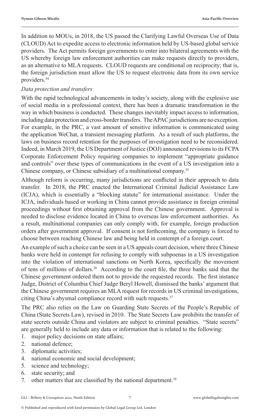In addition to MOUs, in 2018, the US passed the Clarifying Lawful Overseas Use of Data (CLOUD) Act to expedite access to electronic information held by US-based global service providers. The Act permits foreign governments to enter into bilateral agreements with the US whereby foreign law enforcement authorities can make requests directly to providers, as an alternative to MLA requests. CLOUD requests are conditional on reciprocity; that is, the foreign jurisdiction must allow the US to request electronic data from its own service providers.<sup>34</sup>

#### *Data protection and transfers*

With the rapid technological advancements in today's society, along with the explosive use of social media in a professional context, there has been a dramatic transformation in the way in which business is conducted. These changes inevitably impact access to information, including data protection and cross-border transfers. The APAC jurisdictions are no exception. For example, in the PRC, a vast amount of sensitive information is communicated using the application WeChat, a transient messaging platform. As a result of such platforms, the laws on business record retention for the purposes of investigation need to be reconsidered. Indeed, in March 2019, the US Department of Justice (DOJ) announced revisions to its FCPA Corporate Enforcement Policy requiring companies to implement "appropriate guidance and controls" over these types of communications in the event of a US investigation into a Chinese company, or Chinese subsidiary of a multinational company.35

Although reform is occurring, many jurisdictions are conflicted in their approach to data transfer. In 2018, the PRC enacted the International Criminal Judicial Assistance Law (ICJA), which is essentially a "blocking statute" for international assistance. Under the ICJA, individuals based or working in China cannot provide assistance in foreign criminal proceedings without first obtaining approval from the Chinese government. Approval is needed to disclose evidence located in China to overseas law enforcement authorities. As a result, multinational companies can only comply with, for example, foreign production orders after government approval. If consent is not forthcoming, the company is forced to choose between reaching Chinese law and being held in contempt of a foreign court.

An example of such a choice can be seen in a US appeals court decision, where three Chinese banks were held in contempt for refusing to comply with subpoenas in a US investigation into the violation of international sanctions on North Korea, specifically the movement of tens of millions of dollars.<sup>36</sup> According to the court file, the three banks said that the Chinese government ordered them not to provide the requested records. The first instance Judge, District of Columbia Chief Judge Beryl Howell, dismissed the banks' argument that the Chinese government requires an MLA request for records in US criminal investigations, citing China's abysmal compliance record with such requests.37

The PRC also relies on the Law on Guarding State Secrets of the People's Republic of China (State Secrets Law), revised in 2010. The State Secrets Law prohibits the transfer of state secrets outside China and violators are subject to criminal penalties. "State secrets" are generally held to include any data or information that is related to the following:

- 1. major policy decisions on state affairs;
- 2. national defence;
- 3. diplomatic activities;
- 4. national economic and social development;
- 5. science and technology;
- 6. state security; and
- 7. other matters that are classified by the national department.<sup>38</sup>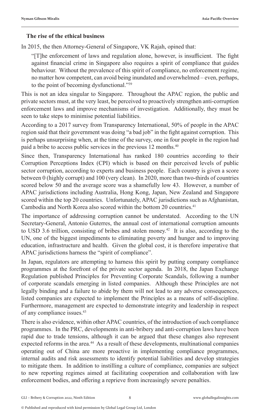#### **The rise of the ethical business**

In 2015, the then Attorney-General of Singapore, VK Rajah, opined that:

"[T]he enforcement of laws and regulation alone, however, is insufficient. The fight against financial crime in Singapore also requires a spirit of compliance that guides behaviour. Without the prevalence of this spirit of compliance, no enforcement regime, no matter how competent, can avoid being inundated and overwhelmed – even, perhaps, to the point of becoming dysfunctional."<sup>39</sup>

This is not an idea singular to Singapore. Throughout the APAC region, the public and private sectors must, at the very least, be perceived to proactively strengthen anti-corruption enforcement laws and improve mechanisms of investigation. Additionally, they must be seen to take steps to minimise potential liabilities.

According to a 2017 survey from Transparency International, 50% of people in the APAC region said that their government was doing "a bad job" in the fight against corruption. This is perhaps unsurprising when, at the time of the survey, one in four people in the region had paid a bribe to access public services in the previous 12 months.<sup>40</sup>

Since then, Transparency International has ranked 180 countries according to their Corruption Perceptions Index (CPI) which is based on their perceived levels of public sector corruption, according to experts and business people. Each country is given a score between 0 (highly corrupt) and 100 (very clean). In 2020, more than two-thirds of countries scored below 50 and the average score was a shamefully low 43. However, a number of APAC jurisdictions including Australia, Hong Kong, Japan, New Zealand and Singapore scored within the top 20 countries. Unfortunately, APAC jurisdictions such as Afghanistan, Cambodia and North Korea also scored within the bottom 20 countries.<sup>41</sup>

The importance of addressing corruption cannot be understated. According to the UN Secretary-General, Antonio Guterres, the annual cost of international corruption amounts to USD 3.6 trillion, consisting of bribes and stolen money.<sup>42</sup> It is also, according to the UN, one of the biggest impediments to eliminating poverty and hunger and to improving education, infrastructure and health. Given the global cost, it is therefore imperative that APAC jurisdictions harness the "spirit of compliance".

In Japan, regulators are attempting to harness this spirit by putting company compliance programmes at the forefront of the private sector agenda. In 2018, the Japan Exchange Regulation published Principles for Preventing Corporate Scandals, following a number of corporate scandals emerging in listed companies. Although these Principles are not legally binding and a failure to abide by them will not lead to any adverse consequences, listed companies are expected to implement the Principles as a means of self-discipline. Furthermore, management are expected to demonstrate integrity and leadership in respect of any compliance issues.<sup>43</sup>

There is also evidence, within other APAC countries, of the introduction of such compliance programmes. In the PRC, developments in anti-bribery and anti-corruption laws have been rapid due to trade tensions, although it can be argued that these changes also represent expected reforms in the area.<sup>44</sup> As a result of these developments, multinational companies operating out of China are more proactive in implementing compliance programmes, internal audits and risk assessments to identify potential liabilities and develop strategies to mitigate them. In addition to instilling a culture of compliance, companies are subject to new reporting regimes aimed at facilitating cooperation and collaboration with law enforcement bodies, and offering a reprieve from increasingly severe penalties.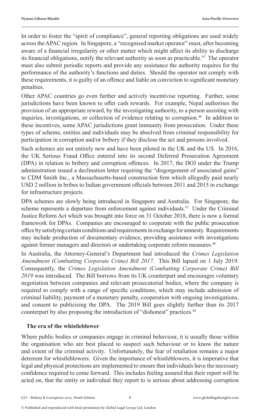In order to foster the "spirit of compliance", general reporting obligations are used widely across the APAC region. In Singapore, a "recognised market operator" must, after becoming aware of a financial irregularity or other matter which might affect its ability to discharge its financial obligations, notify the relevant authority as soon as practicable.45 The operator must also submit periodic reports and provide any assistance the authority requires for the performance of the authority's functions and duties. Should the operator not comply with these requirements, it is guilty of an offence and liable on conviction to significant monetary penalties.

Other APAC countries go even further and actively incentivise reporting. Further, some jurisdictions have been known to offer cash rewards. For example, Nepal authorises the provision of an appropriate reward, by the investigating authority, to a person assisting with inquiries, investigations, or collection of evidence relating to corruption.<sup>46</sup> In addition to these incentives, some APAC jurisdictions grant immunity from prosecution. Under these types of scheme, entities and individuals may be absolved from criminal responsibility for participation in corruption and/or bribery if they disclose the act and persons involved.

Such schemes are not entirely new and have been piloted in the UK and the US. In 2016, the UK Serious Fraud Office entered into its second Deferred Prosecution Agreement (DPA) in relation to bribery and corruption offences. In 2017, the DOJ under the Trump administration issued a declination letter requiring the "disgorgement of associated gains" to CDM Smith Inc., a Massachusetts-based construction firm which allegedly paid nearly USD 2 million in bribes to Indian government officials between 2011 and 2015 in exchange for infrastructure projects.

DPA schemes are slowly being introduced in Singapore and Australia. For Singapore, the scheme represents a departure from enforcement against individuals.47 Under the Criminal Justice Reform Act which was brought into force on 31 October 2018, there is now a formal framework for DPAs. Companies are encouraged to cooperate with the public prosecution office by satisfying certain conditions and requirements in exchange for amnesty. Requirements may include production of documentary evidence, providing assistance with investigations against former managers and directors or undertaking corporate reform measures.<sup>48</sup>

In Australia, the Attorney-General's Department had introduced the *Crimes Legislation Amendment (Combatting Corporate Crime) Bill 2017.* This Bill lapsed on 1 July 2019. Consequently, the *Crimes Legislation Amendment (Combatting Corporate Crime) Bill 2019* was introduced. The Bill borrows from its UK counterpart and encourages voluntary negotiation between companies and relevant prosecutorial bodies, where the company is required to comply with a range of specific conditions, which may include admission of criminal liability, payment of a monetary penalty, cooperation with ongoing investigations, and consent to publicising the DPA. The 2019 Bill goes slightly further than its 2017 counterpart by also proposing the introduction of "dishonest" practices.<sup>49</sup>

#### **The era of the whistleblower**

Where public bodies or companies engage in criminal behaviour, it is usually those within the organisation who are best placed to suspect such behaviour or to know the nature and extent of the criminal activity. Unfortunately, the fear of retaliation remains a major deterrent for whistleblowers. Given the importance of whistleblowers, it is imperative that legal and physical protections are implemented to ensure that individuals have the necessary confidence required to come forward. This includes feeling assured that their report will be acted on, that the entity or individual they report to is serious about addressing corruption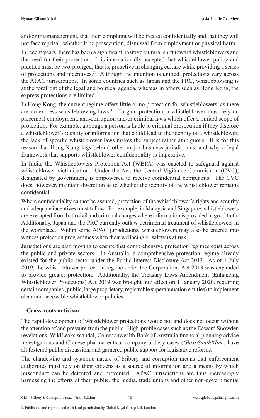and/or mismanagement, that their complaint will be treated confidentially and that they will not face reprisal, whether it be prosecution, dismissal from employment or physical harm.

In recent years, there has been a significant positive cultural shift toward whistleblowers and the need for their protection. It is internationally accepted that whistleblower policy and practice must be two-pronged; that is, proactive in changing culture while providing a series of protections and incentives.50 Although the intention is unified, protections vary across the APAC jurisdictions. In some countries such as Japan and the PRC, whistleblowing is at the forefront of the legal and political agenda, whereas in others such as Hong Kong, the express protections are limited.

In Hong Kong, the current regime offers little or no protection for whistleblowers, as there are no express whistleblowing laws. $51$  To gain protection, a whistleblower must rely on piecemeal employment, anti-corruption and/or criminal laws which offer a limited scope of protection. For example, although a person is liable to criminal prosecution if they disclose a whistleblower's identity or information that could lead to the identity of a whistleblower, the lack of specific whisteblower laws makes the subject rather ambiguous. It is for this reason that Hong Kong lags behind other major business jurisdictions, and why a legal framework that supports whistleblower confidentiality is imperative.

In India, the Whistleblowers Protection Act (WBPA) was enacted to safeguard against whistleblower victimisation. Under the Act, the Central Vigilance Commission (CVC), designated by government, is empowered to receive confidential complaints. The CVC does, however, maintain discretion as to whether the identity of the whistleblower remains confidential.

Where confidentiality cannot be assured, protection of the whistleblower's rights and security and adequate incentives must follow. For example, in Malaysia and Singapore, whistleblowers are exempted from both civil and criminal charges where information is provided in good faith. Additionally, Japan and the PRC currently outlaw detrimental treatment of whistleblowers in the workplace. Within some APAC jurisdictions, whistleblowers may also be entered into witness protection programmes when their wellbeing or safety is at risk.

Jurisdictions are also moving to ensure that comprehensive protection regimes exist across the public and private sectors. In Australia, a comprehensive protection regime already existed for the public sector under the Public Interest Disclosure Act 2013. As of 1 July 2019, the whistleblower protection regime under the Corporations Act 2013 was expanded to provide greater protection. Additionally, the Treasury Laws Amendment (Enhancing Whistleblower Protections) Act 2019 was brought into effect on 1 January 2020, requiring certain companies (public, large proprietary, registrable superannuation entities) to implement clear and accessible whistleblower policies.

#### **Grass-roots activism**

The rapid development of whistleblower protections would not and does not occur without the attention of and pressure from the public. High-profile cases such as the Edward Snowden revelations, WikiLeaks scandal, Commonwealth Bank of Australia financial planning advice investigations and Chinese pharmaceutical company bribery cases (*GlaxoSmithKline*) have all fostered public discussion, and garnered public support for legislative reforms.

The clandestine and systemic nature of bribery and corruption means that enforcement authorities must rely on their citizens as a source of information and a means by which misconduct can be detected and prevented. APAC jurisdictions are thus increasingly harnessing the efforts of their public, the media, trade unions and other non-governmental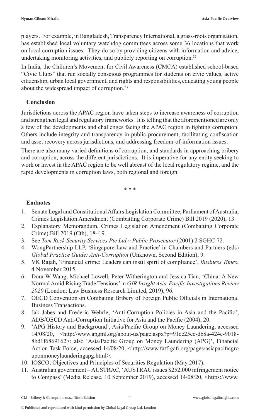players. For example, in Bangladesh, Transparency International, a grass-roots organisation, has established local voluntary watchdog committees across some 36 locations that work on local corruption issues. They do so by providing citizens with information and advice, undertaking monitoring activities, and publicly reporting on corruption.<sup>52</sup>

In India, the Children's Movement for Civil Awareness (CMCA) established school-based "Civic Clubs" that run socially conscious programmes for students on civic values, active citizenship, urban local government, and rights and responsibilities, educating young people about the widespread impact of corruption.<sup>53</sup>

#### **Conclusion**

Jurisdictions across the APAC region have taken steps to increase awareness of corruption and strengthen legal and regulatory frameworks. It is telling that the aforementioned are only a few of the developments and challenges facing the APAC region in fighting corruption. Others include integrity and transparency in public procurement, facilitating confiscation and asset recovery across jurisdictions, and addressing freedom-of-information issues.

There are also many varied definitions of corruption, and standards in approaching bribery and corruption, across the different jurisdictions. It is imperative for any entity seeking to work or invest in the APAC region to be well abreast of the local regulatory regime, and the rapid developments in corruption laws, both regional and foreign.

\* \* \*

#### **Endnotes**

- 1. Senate Legal and Constitutional Affairs Legislation Committee, Parliament of Australia, Crimes Legislation Amendment (Combatting Corporate Crime) Bill 2019 (2020), 13.
- 2. Explanatory Memorandum, Crimes Legislation Amendment (Combatting Corporate Crime) Bill 2019 (Cth), 18–19.
- 3. See *Tom Reck Security Services Pte Ltd v Public Prosecutor* (2001) 2 SGHC 72.
- 4. WongPartnership LLP, 'Singapore Law and Practice' in Chambers and Partners (eds) *Global Practice Guide: Anti-Corruption* (Unknown, Second Edition), 9.
- 5. VK Rajah, 'Financial crime: Leaders can instil spirit of compliance', *Business Times*, 4 November 2015.
- 6. Dora W Wang, Michael Lowell, Peter Witherington and Jessica Tian, 'China: A New Normal Amid Rising Trade Tensions' in *GIR Insight Asia-Pacific Investigations Review 2020* (London: Law Business Research Limited, 2019), 96.
- 7. OECD Convention on Combating Bribery of Foreign Public Officials in International Business Transactions.
- 8. Jak Jabes and Frederic Wehrle, 'Anti-Corruption Policies in Asia and the Pacific', ADB/OECD Anti-Corruption Initiative for Asia and the Pacific (2004), 20.
- 9. 'APG History and Background', Asia/Pacific Group on Money Laundering, accessed 14/08/20, <http://www.apgml.org/about-us/page.aspx?p=91ce25ec-db8a-424c-9018- 8bd1f6869162>; also 'Asia/Pacific Group on Money Laundering (APG)', Financial Action Task Force, accessed 14/08/20, <http://www.fatf-gafi.org/pages/asiapacificgro uponmoneylaunderingapg.html>.
- 10. IOSCO, Objectives and Principles of Securities Regulation (May 2017).
- 11. Australian government AUSTRAC, 'AUSTRAC issues \$252,000 infringement notice to Compass' (Media Release, 10 September 2019), accessed 14/08/20, <https://www.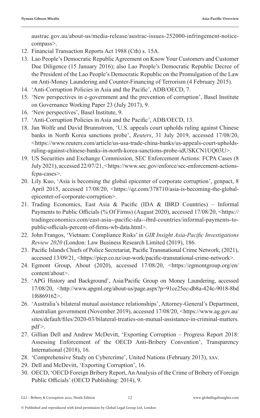austrac.gov.au/about-us/media-release/austrac-issues-252000-infringement-noticecompass>.

- 12. Financial Transaction Reports Act 1988 (Cth) s. 15A.
- 13. Lao People's Democratic Republic Agreement on Know Your Customers and Customer Due Diligence (15 January 2016); also Lao People's Democratic Republic Decree of the President of the Lao People's Democratic Republic on the Promulgation of the Law on Anti-Money Laundering and Counter-Financing of Terrorism (4 February 2015).
- 14. 'Anti-Corruption Policies in Asia and the Pacific', ADB/OECD, 7.
- 15. 'New perspectives in e-government and the prevention of corruption', Basel Institute on Governance Working Paper 23 (July 2017), 9.
- 16. 'New perspectives', Basel Institute, 9.
- 17. 'Anti-Corruption Policies in Asia and the Pacific', ADB/OECD, 13.
- 18. Jan Wolfe and David Brunnstrom, 'U.S. appeals court upholds ruling against Chinese banks in North Korea sanctions probe', *Reuters*, 31 July 2019, accessed 17/08/20, <https://www.reuters.com/article/us-usa-trade-china-banks/us-appeals-court-upholdsruling-against-chinese-banks-in-north-korea-sanctions-probe-idUSKCN1UQ03U>.
- 19. US Securities and Exchange Commission, SEC Enforcement Actions: FCPA Cases (8 July 2021), accessed 22/07/21, <https://www.sec.gov/enforce/sec-enforcement-actionsfcpa-cases>.
- 20. Lily Kuo, 'Asia is becoming the global epicenter of corporate corruption', genpact, 8 April 2015, accessed 17/08/20, <https://qz.com/378710/asia-is-becoming-the-globalepicenter-of-corporate-corruption>.
- 21. Trading Economics, East Asia & Pacific (IDA & IBRD Countries) Informal Payments to Public Officials (% Of Firms) (August 2020), accessed 17/08/20, <https:// tradingeconomics.com/east-asia--pacific-ida--ibrd-countries/informal-payments-topublic-officials-percent-of-firms-wb-data.html>.
- 22. John Frangos, 'Vietnam: Compliance Risks' in *GIR Insight Asia-Pacific Investigations Review 2020* (London: Law Business Research Limited (2019), 186.
- 23. Pacific Islands Chiefs of Police Secretariat, Pacific Transnational Crime Network, (2021), accessed 13/09/21, <https://picp.co.nz/our-work/pacific-transnational-crime-network>.
- 24. Egmont Group, About (2020), accessed 17/08/20, <https://egmontgroup.org/en/ content/about>.
- 25. 'APG History and Background', Asia/Pacific Group on Money Laundering, accessed 17/08/20, <http://www.apgml.org/about-us/page.aspx?p=91ce25ec-db8a-424c-9018-8bd 1f6869162>.
- 26. 'Australia's bilateral mutual assistance relationships', Attorney-General's Department, Australian government (November 2019), accessed 17/08/20, <https://www.ag.gov.au/ sites/default/files/2020-03/bilateral-treaties-on-mutual-assistance-in-criminal-matters. pdf>.
- 27. Gillian Dell and Andrew McDevitt, 'Exporting Corruption Progress Report 2018: Assessing Enforcement of the OECD Anti-Bribery Convention', Transparency International (2018), 16.
- 28. 'Comprehensive Study on Cybercrime', United Nations (February 2013), xxv.
- 29. Dell and McDevitt, 'Exporting Corruption', 16.
- 30. OECD, 'OECD Foreign Bribery Report, An Analysis of the Crime of Bribery of Foreign Public Officials' (OECD Publishing: 2014), 9.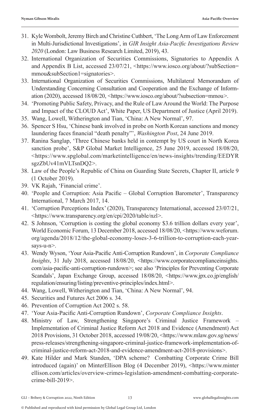- 31. Kyle Wombolt, Jeremy Birch and Christine Cuthbert, 'The Long Arm of Law Enforcement in Multi-Jurisdictional Investigations', in *GIR Insight Asia-Pacific Investigations Review 2020* (London: Law Business Research Limited, 2019), 43.
- 32. International Organization of Securities Commissions, Signatories to Appendix A and Appendix B List, accessed 23/07/21, <https://www.iosco.org/about/?subSection= mmou&subSection1=signatories>.
- 33. International Organization of Securities Commissions, Multilateral Memorandum of Understanding Concerning Consultation and Cooperation and the Exchange of Information (2020), accessed 18/08/20, <https://www.iosco.org/about/?subsection=mmou>.
- 34. 'Promoting Public Safety, Privacy, and the Rule of Law Around the World: The Purpose and Impact of the CLOUD Act', White Paper, US Department of Justice (April 2019).
- 35. Wang, Lowell, Witherington and Tian, 'China: A New Normal', 97.
- 36. Spencer S Hsu, 'Chinese bank involved in probe on North Korean sanctions and money laundering faces financial "death penalty"', *Washington Post*, 24 June 2019.
- 37. Ranina Sanglap, 'Three Chinese banks held in contempt by US court in North Korea sanction probe', S&P Global Market Intelligence, 25 June 2019, accessed 18/08/20, <https://www.spglobal.com/marketintelligence/en/news-insights/trending/EEDYR sgzZbUv41mVLTsnDQ2>.
- 38. Law of the People's Republic of China on Guarding State Secrets, Chapter II, article 9 (1 October 2019).
- 39. VK Rajah, 'Financial crime'.
- 40. 'People and Corruption: Asia Pacific Global Corruption Barometer', Transparency International, 7 March 2017, 14.
- 41. 'Corruption Perceptions Index' (2020), Transparency International, accessed 23/07/21, <https://www.transparency.org/en/cpi/2020/table/nzl>.
- 42. S Johnson, 'Corruption is costing the global economy \$3.6 trillion dollars every year', World Economic Forum, 13 December 2018, accessed 18/08/20, <https://www.weforum. org/agenda/2018/12/the-global-economy-loses-3-6-trillion-to-corruption-each-yearsays-u-n>.
- 43. Wendy Wyson, 'Your Asia-Pacific Anti-Corruption Rundown', in *Corporate Compliance Insights*, 31 July 2018, accessed 18/08/20, <https://www.corporatecomplianceinsights. com/asia-pacific-anti-corruption-rundown>; see also 'Principles for Preventing Corporate Scandals', Japan Exchange Group, accessed 18/08/20, <https://www.jpx.co.jp/english/ regulation/ensuring/listing/preventive-principles/index.html>.
- 44. Wang, Lowell, Witherington and Tian, 'China: A New Normal', 94.
- 45. Securities and Futures Act 2006 s. 34.
- 46. Prevention of Corruption Act 2002 s. 58.
- 47. 'Your Asia-Pacific Anti-Corruption Rundown', *Corporate Compliance Insights*.
- 48. Ministry of Law, Strengthening Singapore's Criminal Justice Framework Implementation of Criminal Justice Reform Act 2018 and Evidence (Amendment) Act 2018 Provisions, 31 October 2018, accessed 19/08/20, <https://www.mlaw.gov.sg/news/ press-releases/strengthening-singapore-criminal-justice-framework-implementation-ofcriminal-justice-reform-act-2018-and-evidence-amendment-act-2018-provisions>.
- 49. Kate Hilder and Mark Standen, 'DPA scheme? Combatting Corporate Crime Bill introduced (again)' on MinterEllison Blog (4 December 2019), <https://www.minter ellison.com/articles/overview-crimes-legislation-amendment-combatting-corporatecrime-bill-2019>.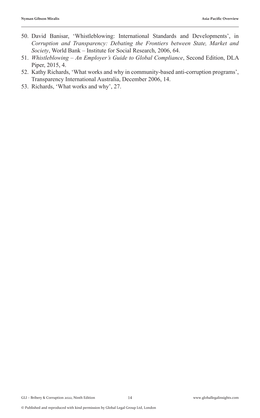- 50. David Banisar, 'Whistleblowing: International Standards and Developments', in *Corruption and Transparency: Debating the Frontiers between State, Market and Society*, World Bank – Institute for Social Research, 2006, 64.
- 51. *Whistleblowing An Employer's Guide to Global Compliance*, Second Edition, DLA Piper, 2015, 4.
- 52. Kathy Richards, 'What works and why in community-based anti-corruption programs', Transparency International Australia, December 2006, 14.
- 53. Richards, 'What works and why', 27.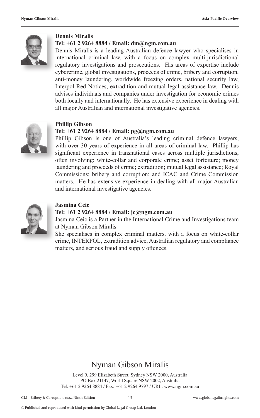

#### **Dennis Miralis**

#### **Tel: +61 2 9264 8884 / Email: dm@ngm.com.au**

Dennis Miralis is a leading Australian defence lawyer who specialises in international criminal law, with a focus on complex multi-jurisdictional regulatory investigations and prosecutions. His areas of expertise include cybercrime, global investigations, proceeds of crime, bribery and corruption, anti-money laundering, worldwide freezing orders, national security law, Interpol Red Notices, extradition and mutual legal assistance law. Dennis advises individuals and companies under investigation for economic crimes both locally and internationally. He has extensive experience in dealing with all major Australian and international investigative agencies.



#### **Phillip Gibson**

#### **Tel: +61 2 9264 8884 / Email: pg@ngm.com.au**

Phillip Gibson is one of Australia's leading criminal defence lawyers, with over 30 years of experience in all areas of criminal law. Phillip has significant experience in transnational cases across multiple jurisdictions, often involving: white-collar and corporate crime; asset forfeiture; money laundering and proceeds of crime; extradition; mutual legal assistance; Royal Commissions; bribery and corruption; and ICAC and Crime Commission matters. He has extensive experience in dealing with all major Australian and international investigative agencies.



#### **Jasmina Ceic**

#### **Tel: +61 2 9264 8884 / Email: jc@ngm.com.au**

Jasmina Ceic is a Partner in the International Crime and Investigations team at Nyman Gibson Miralis.

She specialises in complex criminal matters, with a focus on white-collar crime, INTERPOL, extradition advice, Australian regulatory and compliance matters, and serious fraud and supply offences.

#### Nyman Gibson Miralis

Level 9, 299 Elizabeth Street, Sydney NSW 2000, Australia PO Box 21147, World Square NSW 2002, Australia Tel: +61 2 9264 8884 / Fax: +61 2 9264 9797 / URL: www.ngm.com.au